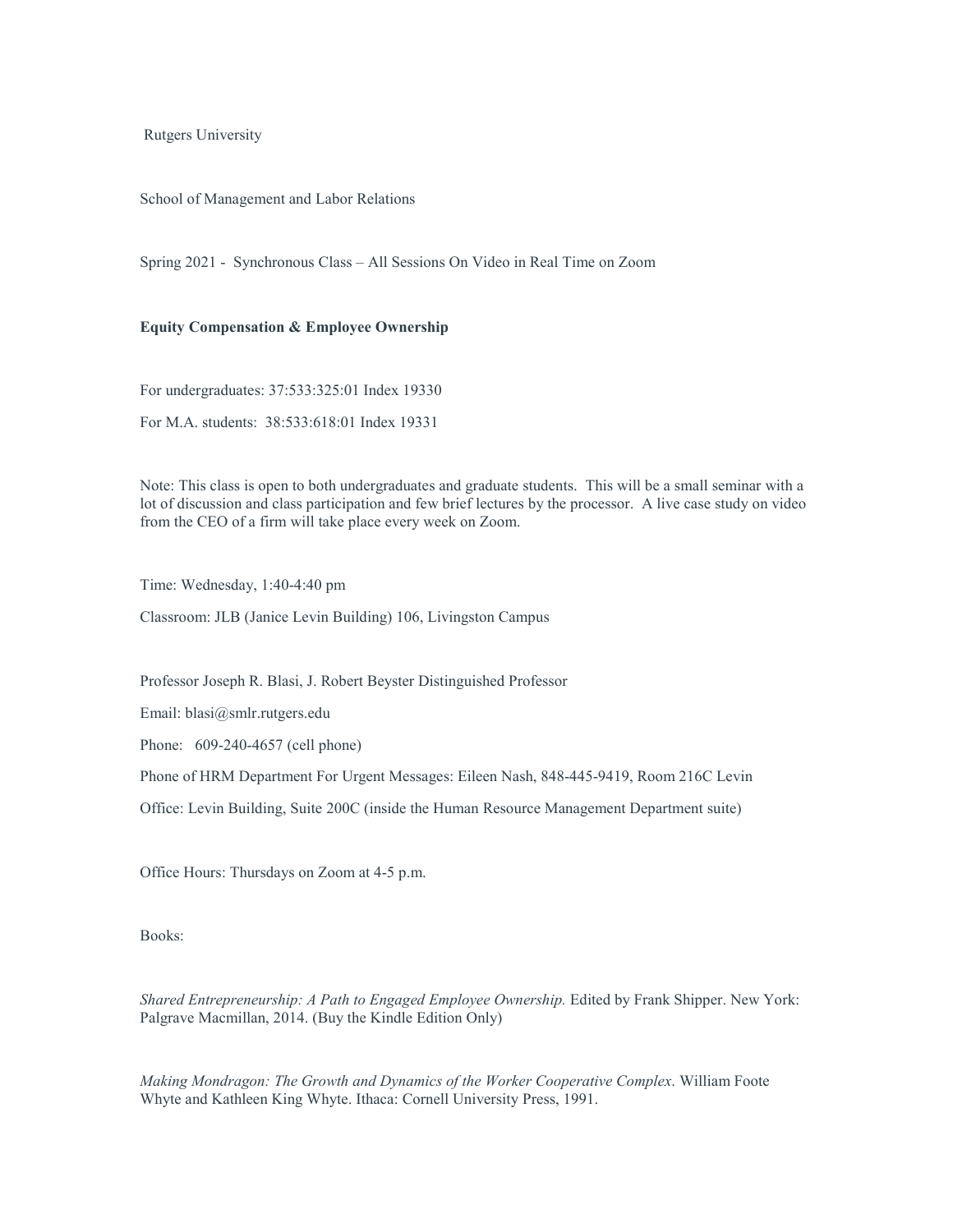Rutgers University

School of Management and Labor Relations

Spring 2021 - Synchronous Class – All Sessions On Video in Real Time on Zoom

## **Equity Compensation & Employee Ownership**

For undergraduates: 37:533:325:01 Index 19330 For M.A. students: 38:533:618:01 Index 19331

Note: This class is open to both undergraduates and graduate students. This will be a small seminar with a lot of discussion and class participation and few brief lectures by the processor. A live case study on video from the CEO of a firm will take place every week on Zoom.

Time: Wednesday, 1:40-4:40 pm

Classroom: JLB (Janice Levin Building) 106, Livingston Campus

Professor Joseph R. Blasi, J. Robert Beyster Distinguished Professor

Email: blasi@smlr.rutgers.edu

Phone: 609-240-4657 (cell phone)

Phone of HRM Department For Urgent Messages: Eileen Nash, 848-445-9419, Room 216C Levin

Office: Levin Building, Suite 200C (inside the Human Resource Management Department suite)

Office Hours: Thursdays on Zoom at 4-5 p.m.

Books:

*Shared Entrepreneurship: A Path to Engaged Employee Ownership.* Edited by Frank Shipper. New York: Palgrave Macmillan, 2014. (Buy the Kindle Edition Only)

*Making Mondragon: The Growth and Dynamics of the Worker Cooperative Complex*. William Foote Whyte and Kathleen King Whyte. Ithaca: Cornell University Press, 1991.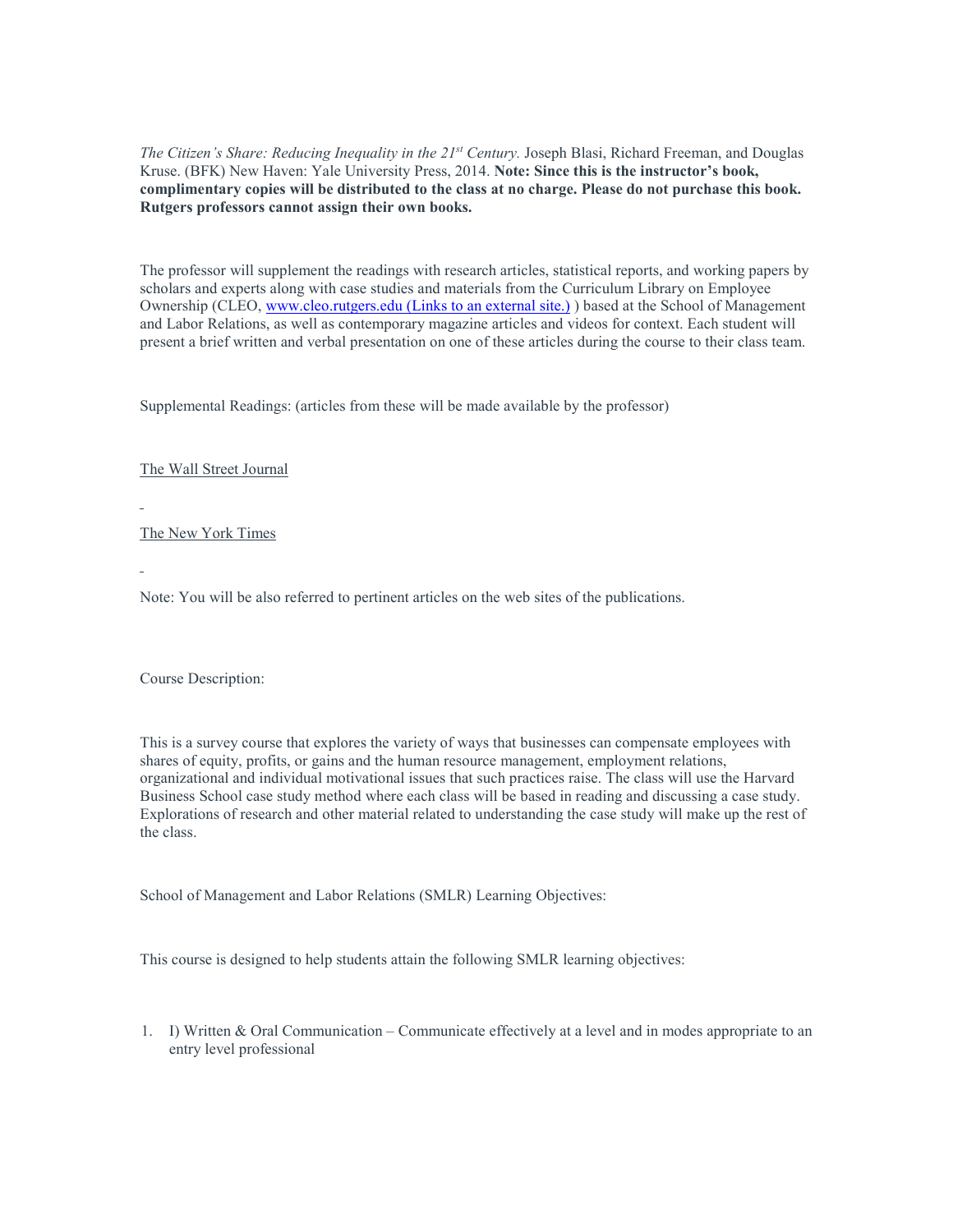*The Citizen's Share: Reducing Inequality in the 21st Century.* Joseph Blasi, Richard Freeman, and Douglas Kruse. (BFK) New Haven: Yale University Press, 2014. **Note: Since this is the instructor's book, complimentary copies will be distributed to the class at no charge. Please do not purchase this book. Rutgers professors cannot assign their own books.**

The professor will supplement the readings with research articles, statistical reports, and working papers by scholars and experts along with case studies and materials from the Curriculum Library on Employee Ownership (CLEO, [www.cleo.rutgers.edu](http://www.cleo.rutgers.edu/) (Links to an external site.) ) based at the School of Management and Labor Relations, as well as contemporary magazine articles and videos for context. Each student will present a brief written and verbal presentation on one of these articles during the course to their class team.

Supplemental Readings: (articles from these will be made available by the professor)

The Wall Street Journal

The New York Times

Note: You will be also referred to pertinent articles on the web sites of the publications.

Course Description:

This is a survey course that explores the variety of ways that businesses can compensate employees with shares of equity, profits, or gains and the human resource management, employment relations, organizational and individual motivational issues that such practices raise. The class will use the Harvard Business School case study method where each class will be based in reading and discussing a case study. Explorations of research and other material related to understanding the case study will make up the rest of the class.

School of Management and Labor Relations (SMLR) Learning Objectives:

This course is designed to help students attain the following SMLR learning objectives:

1. I) Written & Oral Communication – Communicate effectively at a level and in modes appropriate to an entry level professional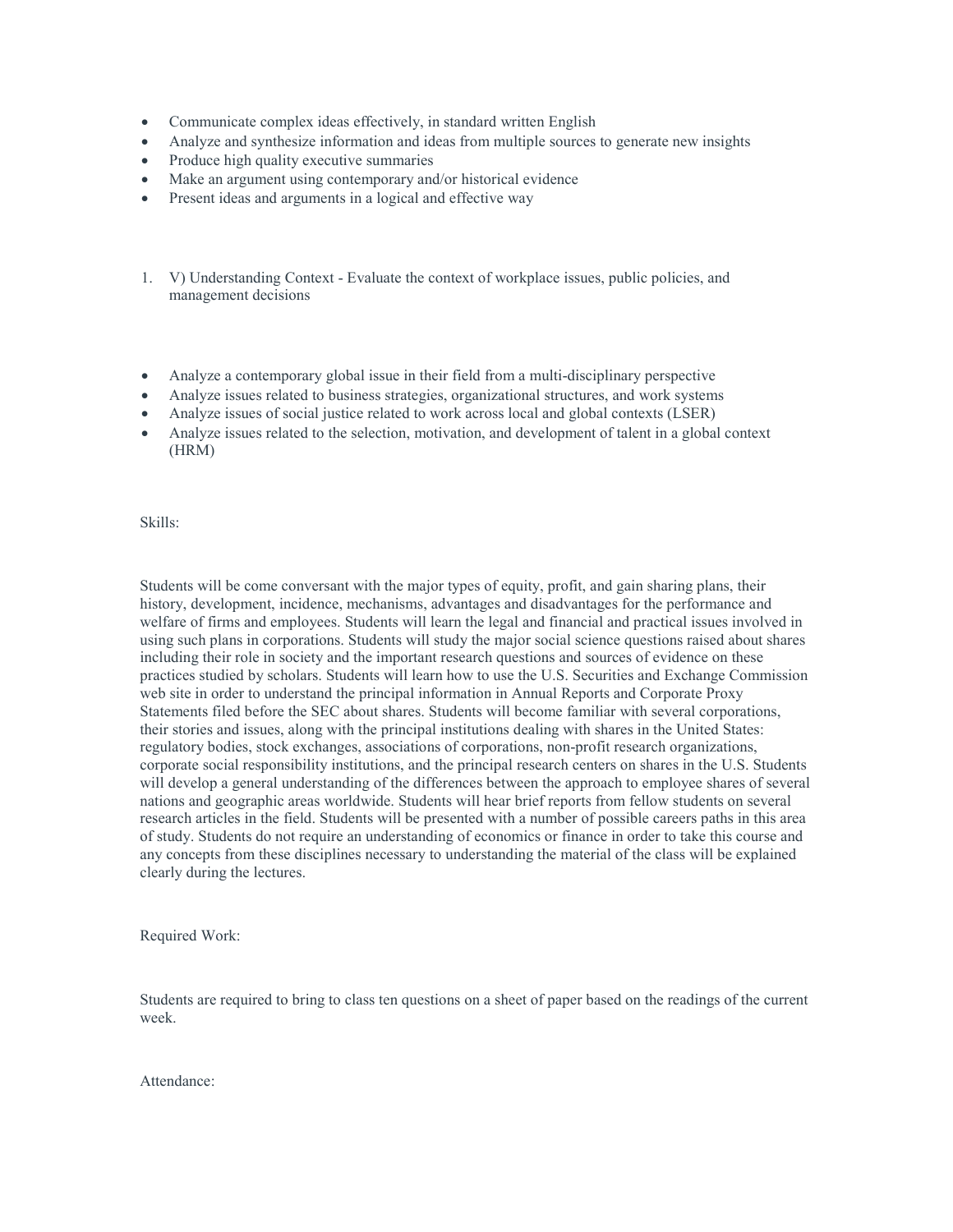- Communicate complex ideas effectively, in standard written English
- Analyze and synthesize information and ideas from multiple sources to generate new insights
- Produce high quality executive summaries
- Make an argument using contemporary and/or historical evidence
- Present ideas and arguments in a logical and effective way
- 1. V) Understanding Context Evaluate the context of workplace issues, public policies, and management decisions
- Analyze a contemporary global issue in their field from a multi-disciplinary perspective
- Analyze issues related to business strategies, organizational structures, and work systems
- Analyze issues of social justice related to work across local and global contexts (LSER)
- Analyze issues related to the selection, motivation, and development of talent in a global context (HRM)

Skills:

Students will be come conversant with the major types of equity, profit, and gain sharing plans, their history, development, incidence, mechanisms, advantages and disadvantages for the performance and welfare of firms and employees. Students will learn the legal and financial and practical issues involved in using such plans in corporations. Students will study the major social science questions raised about shares including their role in society and the important research questions and sources of evidence on these practices studied by scholars. Students will learn how to use the U.S. Securities and Exchange Commission web site in order to understand the principal information in Annual Reports and Corporate Proxy Statements filed before the SEC about shares. Students will become familiar with several corporations, their stories and issues, along with the principal institutions dealing with shares in the United States: regulatory bodies, stock exchanges, associations of corporations, non-profit research organizations, corporate social responsibility institutions, and the principal research centers on shares in the U.S. Students will develop a general understanding of the differences between the approach to employee shares of several nations and geographic areas worldwide. Students will hear brief reports from fellow students on several research articles in the field. Students will be presented with a number of possible careers paths in this area of study. Students do not require an understanding of economics or finance in order to take this course and any concepts from these disciplines necessary to understanding the material of the class will be explained clearly during the lectures.

Required Work:

Students are required to bring to class ten questions on a sheet of paper based on the readings of the current week.

Attendance: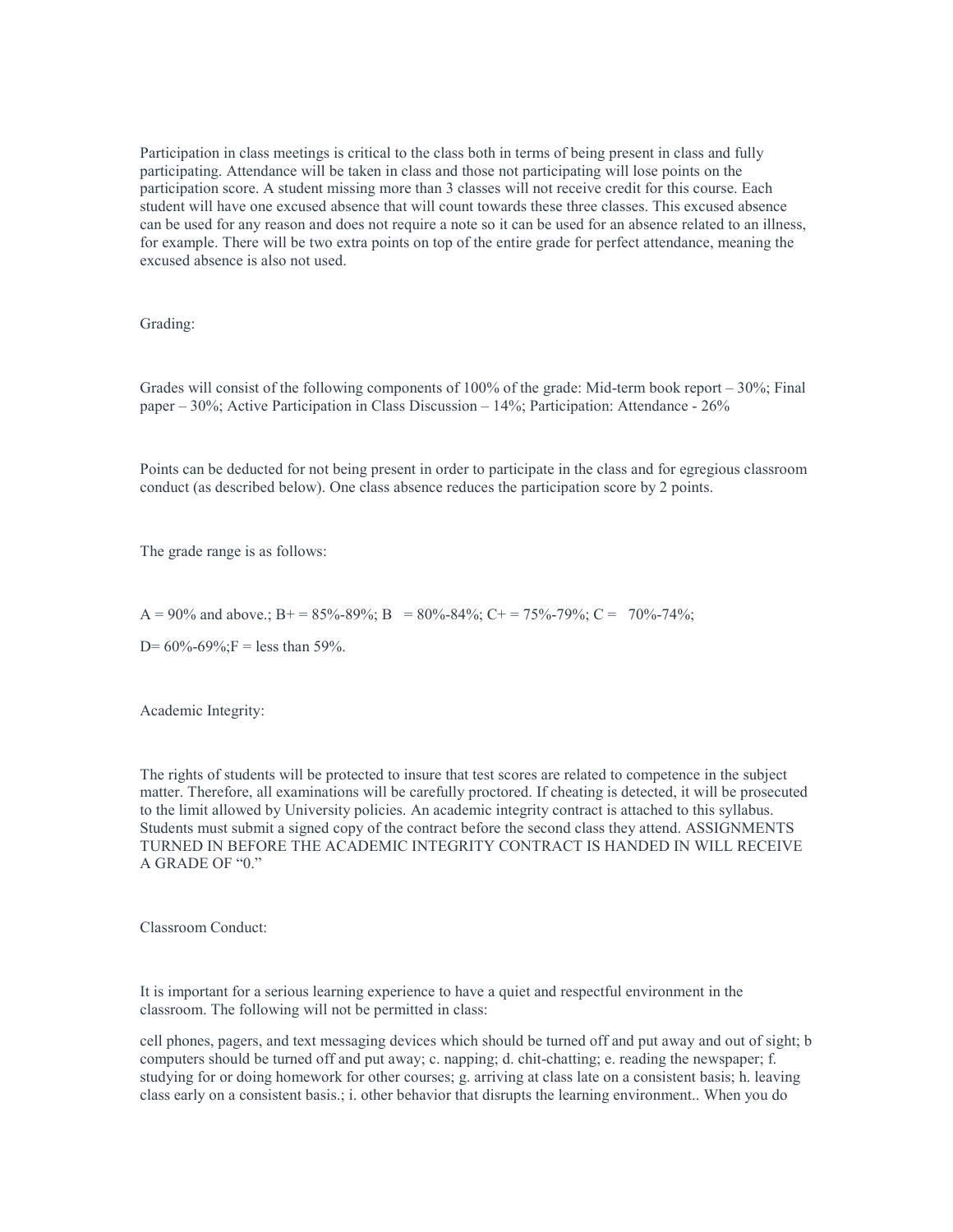Participation in class meetings is critical to the class both in terms of being present in class and fully participating. Attendance will be taken in class and those not participating will lose points on the participation score. A student missing more than 3 classes will not receive credit for this course. Each student will have one excused absence that will count towards these three classes. This excused absence can be used for any reason and does not require a note so it can be used for an absence related to an illness, for example. There will be two extra points on top of the entire grade for perfect attendance, meaning the excused absence is also not used.

Grading:

Grades will consist of the following components of 100% of the grade: Mid-term book report – 30%; Final paper – 30%; Active Participation in Class Discussion – 14%; Participation: Attendance - 26%

Points can be deducted for not being present in order to participate in the class and for egregious classroom conduct (as described below). One class absence reduces the participation score by 2 points.

The grade range is as follows:

 $A = 90\%$  and above.;  $B = 85\% - 89\%$ ;  $B = 80\% - 84\%$ ;  $C = 75\% - 79\%$ ;  $C = 70\% - 74\%$ ;

D=  $60\%$ - $69\%$ ;F = less than 59%.

Academic Integrity:

The rights of students will be protected to insure that test scores are related to competence in the subject matter. Therefore, all examinations will be carefully proctored. If cheating is detected, it will be prosecuted to the limit allowed by University policies. An academic integrity contract is attached to this syllabus. Students must submit a signed copy of the contract before the second class they attend. ASSIGNMENTS TURNED IN BEFORE THE ACADEMIC INTEGRITY CONTRACT IS HANDED IN WILL RECEIVE A GRADE OF "0."

Classroom Conduct:

It is important for a serious learning experience to have a quiet and respectful environment in the classroom. The following will not be permitted in class:

cell phones, pagers, and text messaging devices which should be turned off and put away and out of sight; b computers should be turned off and put away; c. napping; d. chit-chatting; e. reading the newspaper; f. studying for or doing homework for other courses; g. arriving at class late on a consistent basis; h. leaving class early on a consistent basis.; i. other behavior that disrupts the learning environment.. When you do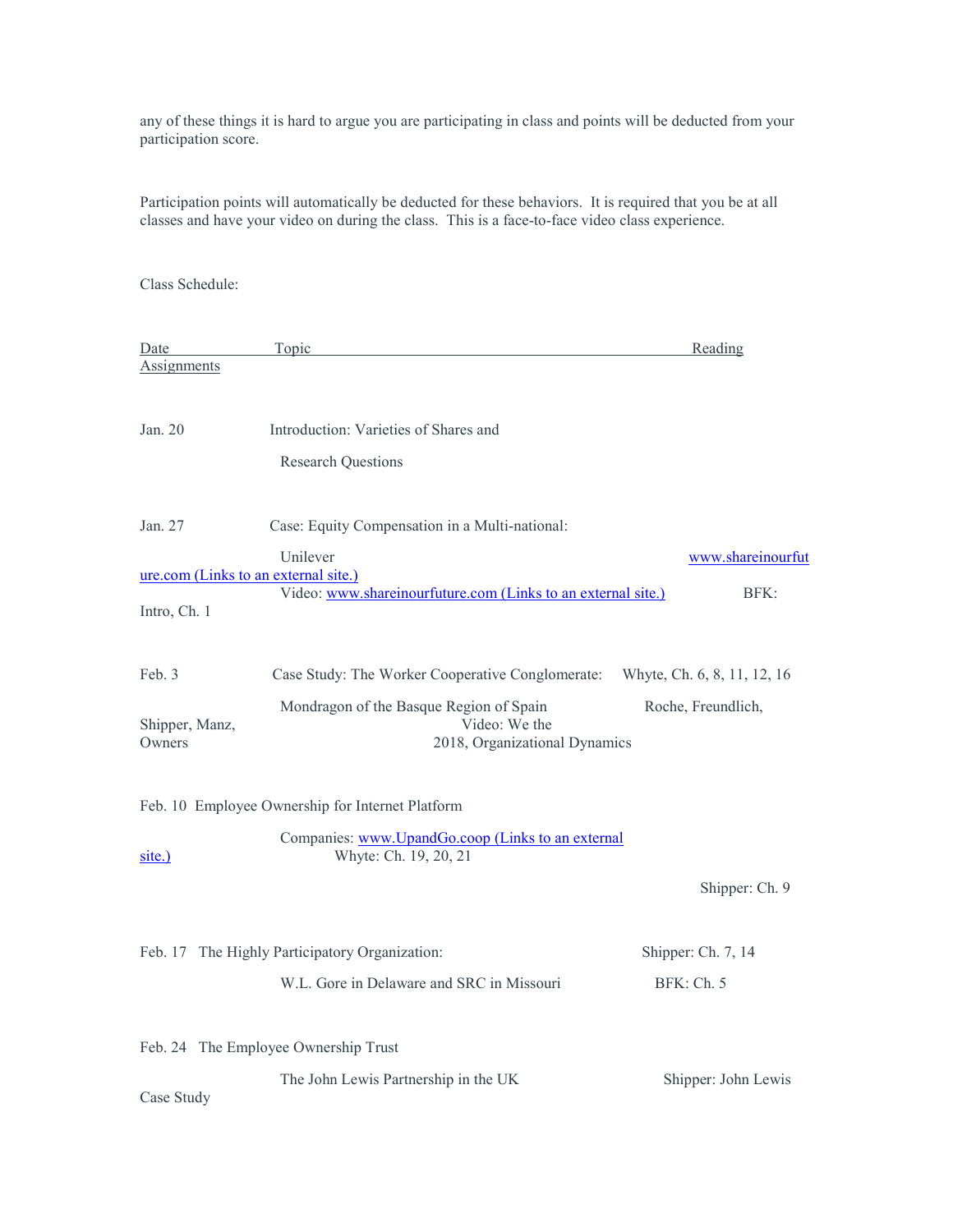any of these things it is hard to argue you are participating in class and points will be deducted from your participation score.

Participation points will automatically be deducted for these behaviors. It is required that you be at all classes and have your video on during the class. This is a face-to-face video class experience.

Class Schedule:

| Date                     | Topic                                                              |                                                              | Reading                     |
|--------------------------|--------------------------------------------------------------------|--------------------------------------------------------------|-----------------------------|
| Assignments              |                                                                    |                                                              |                             |
| Jan. 20                  | Introduction: Varieties of Shares and<br><b>Research Questions</b> |                                                              |                             |
| Jan. 27                  | Case: Equity Compensation in a Multi-national:                     |                                                              |                             |
| Intro, Ch. 1             | Unilever<br>ure.com (Links to an external site.)                   | Video: www.shareinourfuture.com (Links to an external site.) | www.shareinourfut<br>BFK:   |
| Feb. 3                   | Case Study: The Worker Cooperative Conglomerate:                   |                                                              | Whyte, Ch. 6, 8, 11, 12, 16 |
| Shipper, Manz,<br>Owners | Mondragon of the Basque Region of Spain                            | Video: We the<br>2018, Organizational Dynamics               | Roche, Freundlich,          |
|                          | Feb. 10 Employee Ownership for Internet Platform                   |                                                              |                             |
| $site.$ )                | Whyte: Ch. 19, 20, 21                                              | Companies: www.UpandGo.coop (Links to an external            |                             |
|                          |                                                                    |                                                              | Shipper: Ch. 9              |
|                          | Feb. 17 The Highly Participatory Organization:                     |                                                              | Shipper: Ch. 7, 14          |
|                          | W.L. Gore in Delaware and SRC in Missouri                          |                                                              | BFK: Ch. 5                  |
|                          | Feb. 24 The Employee Ownership Trust                               |                                                              |                             |
| Case Study               | The John Lewis Partnership in the UK                               |                                                              | Shipper: John Lewis         |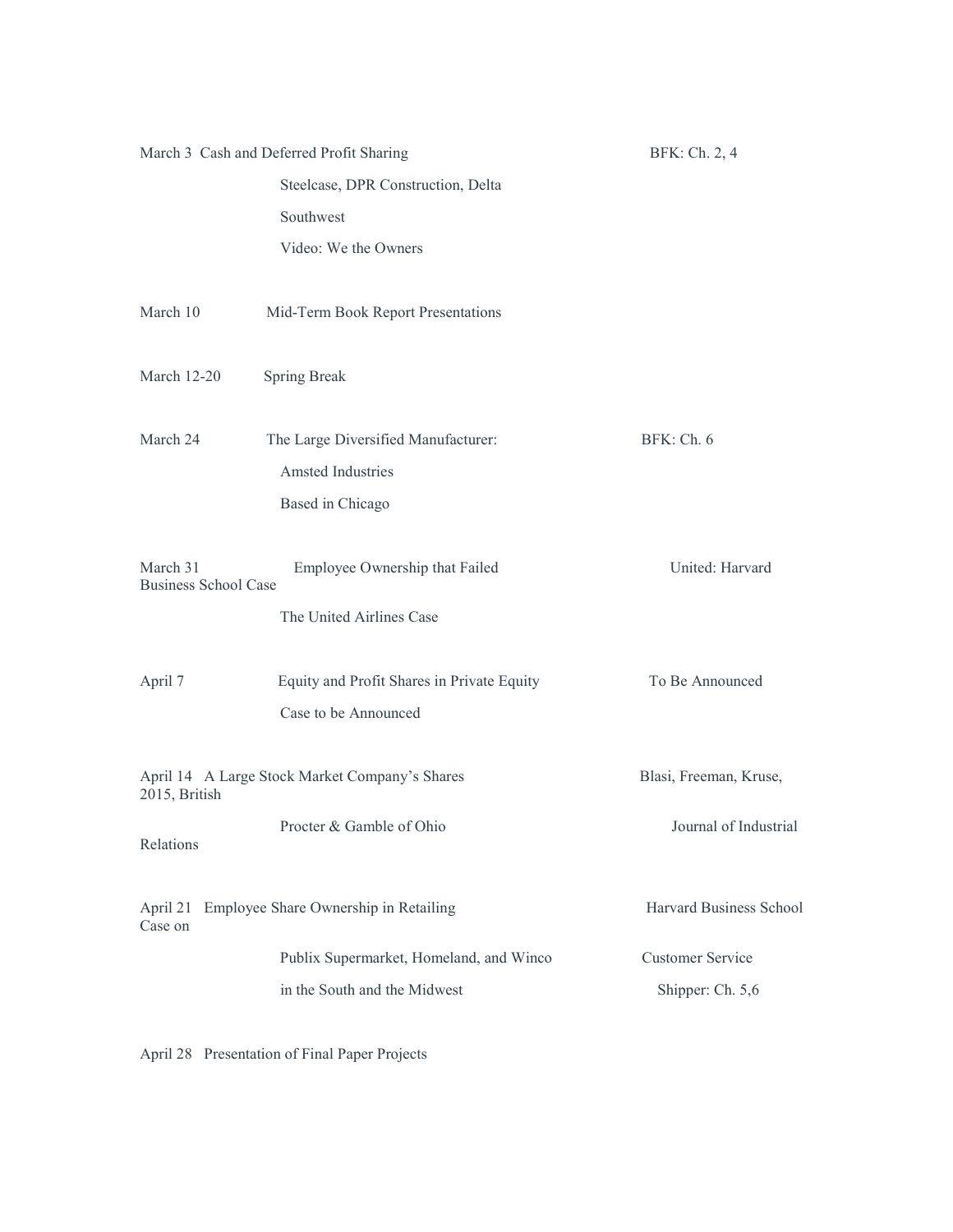|                                         | March 3 Cash and Deferred Profit Sharing       | BFK: Ch. 2, 4           |
|-----------------------------------------|------------------------------------------------|-------------------------|
|                                         | Steelcase, DPR Construction, Delta             |                         |
|                                         | Southwest                                      |                         |
|                                         | Video: We the Owners                           |                         |
| March 10                                | Mid-Term Book Report Presentations             |                         |
| March 12-20                             | <b>Spring Break</b>                            |                         |
| March 24                                | The Large Diversified Manufacturer:            | BFK: Ch. 6              |
|                                         | <b>Amsted Industries</b>                       |                         |
|                                         | Based in Chicago                               |                         |
| March 31<br><b>Business School Case</b> | Employee Ownership that Failed                 | United: Harvard         |
|                                         | The United Airlines Case                       |                         |
| April 7                                 | Equity and Profit Shares in Private Equity     | To Be Announced         |
|                                         | Case to be Announced                           |                         |
| 2015, British                           | April 14 A Large Stock Market Company's Shares | Blasi, Freeman, Kruse,  |
| Relations                               | Procter & Gamble of Ohio                       | Journal of Industrial   |
| Case on                                 | April 21 Employee Share Ownership in Retailing | Harvard Business School |
|                                         | Publix Supermarket, Homeland, and Winco        | <b>Customer Service</b> |
|                                         | in the South and the Midwest                   | Shipper: Ch. 5,6        |

April 28 Presentation of Final Paper Projects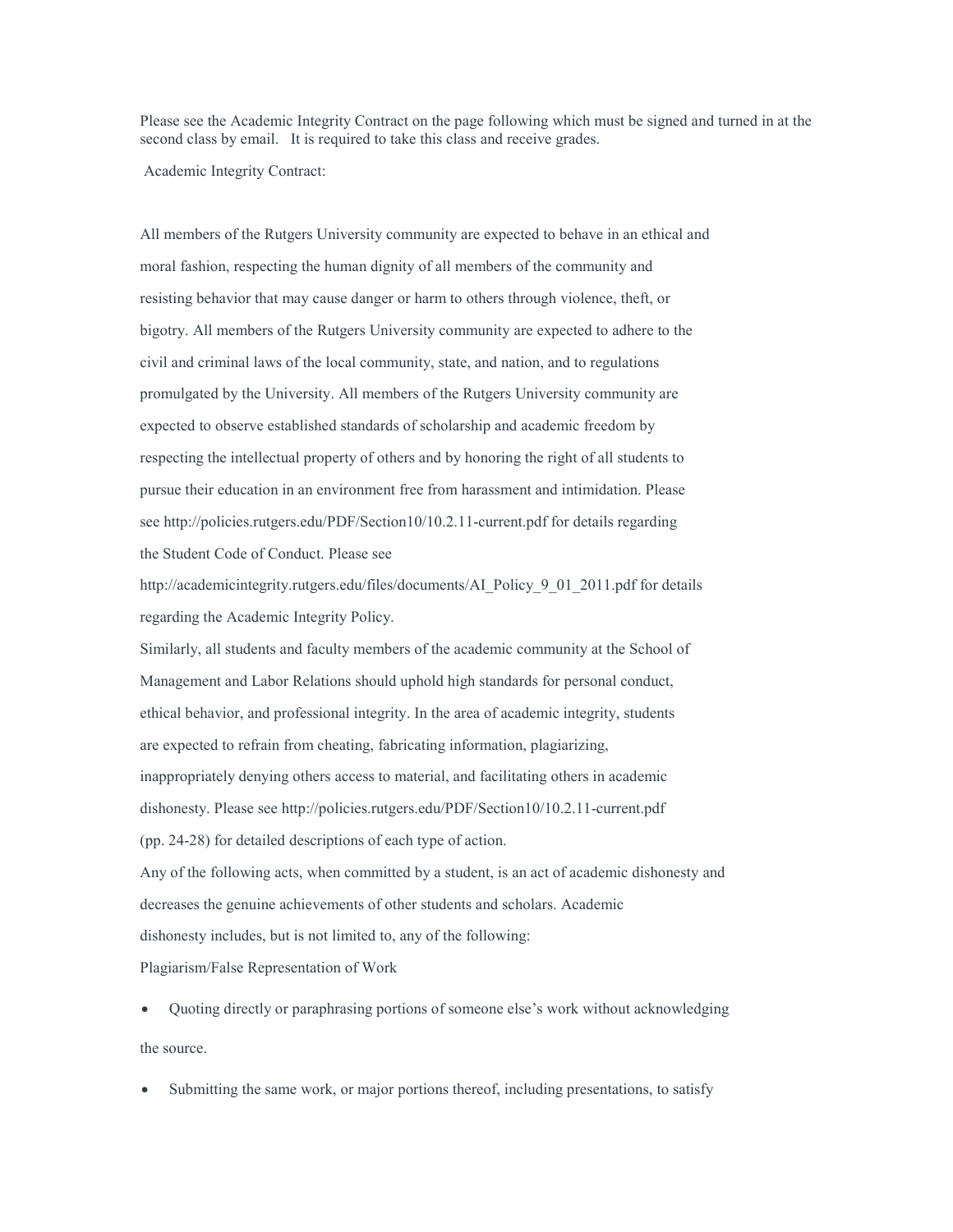Please see the Academic Integrity Contract on the page following which must be signed and turned in at the second class by email. It is required to take this class and receive grades.

Academic Integrity Contract:

All members of the Rutgers University community are expected to behave in an ethical and moral fashion, respecting the human dignity of all members of the community and resisting behavior that may cause danger or harm to others through violence, theft, or bigotry. All members of the Rutgers University community are expected to adhere to the civil and criminal laws of the local community, state, and nation, and to regulations promulgated by the University. All members of the Rutgers University community are expected to observe established standards of scholarship and academic freedom by respecting the intellectual property of others and by honoring the right of all students to pursue their education in an environment free from harassment and intimidation. Please see http://policies.rutgers.edu/PDF/Section10/10.2.11-current.pdf for details regarding the Student Code of Conduct. Please see

http://academicintegrity.rutgers.edu/files/documents/AI\_Policy\_9\_01\_2011.pdf for details regarding the Academic Integrity Policy.

Similarly, all students and faculty members of the academic community at the School of Management and Labor Relations should uphold high standards for personal conduct, ethical behavior, and professional integrity. In the area of academic integrity, students are expected to refrain from cheating, fabricating information, plagiarizing, inappropriately denying others access to material, and facilitating others in academic dishonesty. Please see http://policies.rutgers.edu/PDF/Section10/10.2.11-current.pdf (pp. 24-28) for detailed descriptions of each type of action. Any of the following acts, when committed by a student, is an act of academic dishonesty and decreases the genuine achievements of other students and scholars. Academic dishonesty includes, but is not limited to, any of the following: Plagiarism/False Representation of Work

• Quoting directly or paraphrasing portions of someone else's work without acknowledging the source.

Submitting the same work, or major portions thereof, including presentations, to satisfy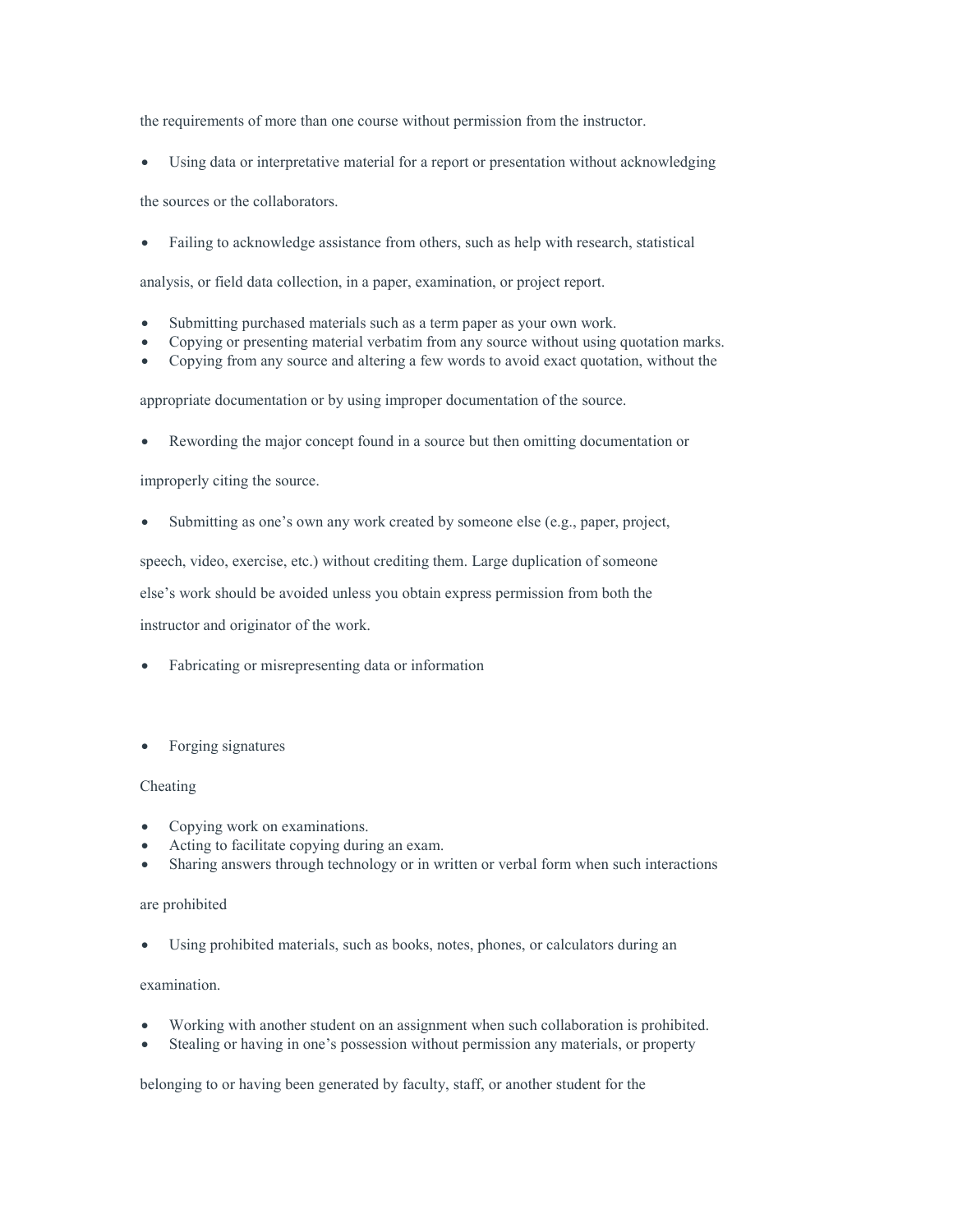the requirements of more than one course without permission from the instructor.

• Using data or interpretative material for a report or presentation without acknowledging

the sources or the collaborators.

• Failing to acknowledge assistance from others, such as help with research, statistical

analysis, or field data collection, in a paper, examination, or project report.

- Submitting purchased materials such as a term paper as your own work.
- Copying or presenting material verbatim from any source without using quotation marks.
- Copying from any source and altering a few words to avoid exact quotation, without the

appropriate documentation or by using improper documentation of the source.

Rewording the major concept found in a source but then omitting documentation or

improperly citing the source.

Submitting as one's own any work created by someone else (e.g., paper, project,

speech, video, exercise, etc.) without crediting them. Large duplication of someone

else's work should be avoided unless you obtain express permission from both the

instructor and originator of the work.

- Fabricating or misrepresenting data or information
- Forging signatures

## Cheating

- Copying work on examinations.
- Acting to facilitate copying during an exam.
- Sharing answers through technology or in written or verbal form when such interactions

## are prohibited

• Using prohibited materials, such as books, notes, phones, or calculators during an

## examination.

- Working with another student on an assignment when such collaboration is prohibited.
- Stealing or having in one's possession without permission any materials, or property

belonging to or having been generated by faculty, staff, or another student for the